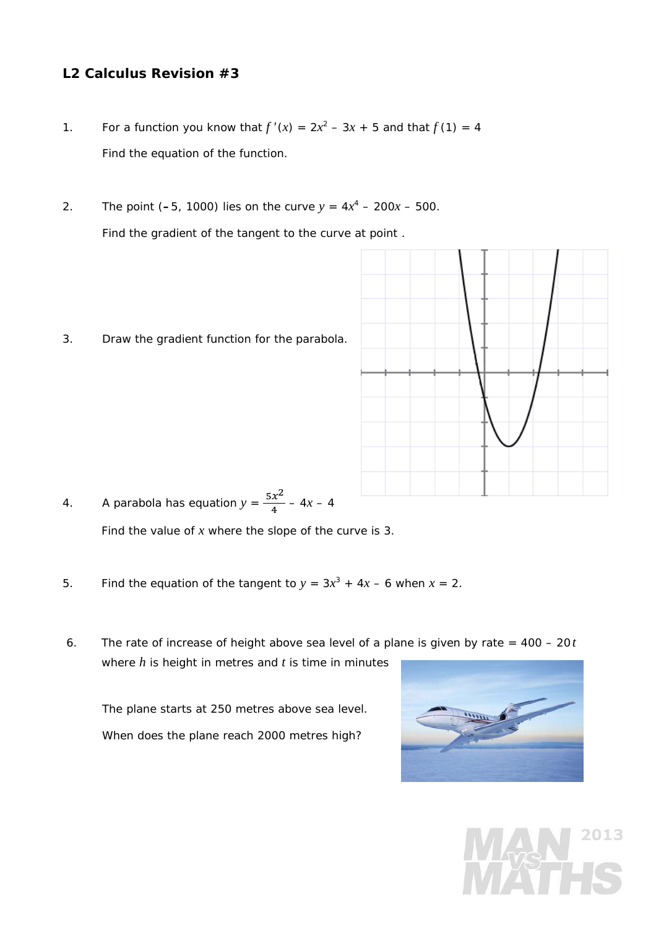## **L2 Calculus Revision #3**

- 1. For a function you know that  $f'(x) = 2x^2 3x + 5$  and that  $f(1) = 4$ Find the equation of the function.
- 2. The point (-5, 1000) lies on the curve  $y = 4x^4 200x 500$ . Find the gradient of the tangent to the curve at point .
- 3. Draw the gradient function for the parabola.



- 4. A parabola has equation  $y = \frac{5x^2}{4} 4x 4$ Find the value of *x* where the slope of the curve is 3.
- 5. Find the equation of the tangent to  $y = 3x^3 + 4x 6$  when  $x = 2$ .
- 6. The rate of increase of height above sea level of a plane is given by rate = 400 20*t*  where *h* is height in metres and *t* is time in minutes

 The plane starts at 250 metres above sea level. When does the plane reach 2000 metres high?



2013